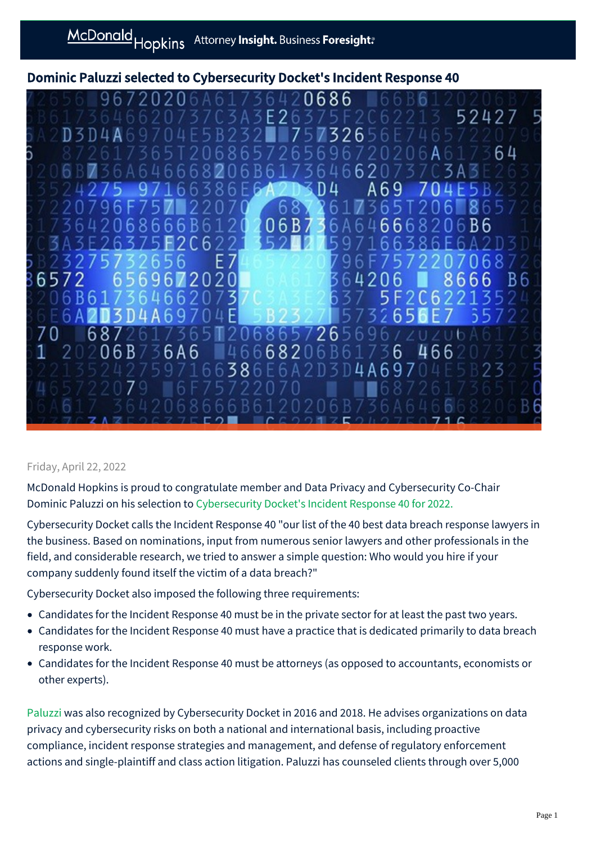Dominic Paluzzi selected to Cybersecurity Docket's Incident Response 40



## Friday, April 22, 2022

McDonald Hopkins is proud to congratulate member and Data Privacy and Cybersecurity Co-Chair Dominic Paluzzi on his selection to [Cybersecurity Docket's Incident Response 40 for 2022.](https://www.cybersecuritydocket.com/incident-response-40-for-2022/)

Cybersecurity Docket calls the Incident Response 40 "our list of the 40 best data breach response lawyers in the business. Based on nominations, input from numerous senior lawyers and other professionals in the field, and considerable research, we tried to answer a simple question: Who would you hire if your company suddenly found itself the victim of a data breach?"

Cybersecurity Docket also imposed the following three requirements:

- Candidates for the Incident Response 40 must be in the private sector for at least the past two years.
- Candidates for the Incident Response 40 must have a practice that is dedicated primarily to data breach response work.
- Candidates for the Incident Response 40 must be attorneys (as opposed to accountants, economists or other experts).

[Paluzzi](https://mcdonaldhopkins.com/Team/Attorney/d/Dominic-Paluzzi) was also recognized by Cybersecurity Docket in 2016 and 2018. He advises organizations on data privacy and cybersecurity risks on both a national and international basis, including proactive compliance, incident response strategies and management, and defense of regulatory enforcement actions and single-plaintiff and class action litigation. Paluzzi has counseled clients through over 5,000